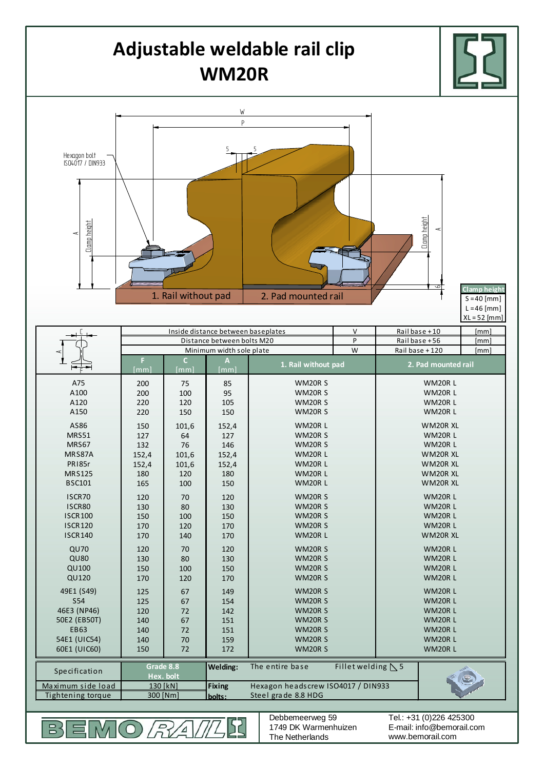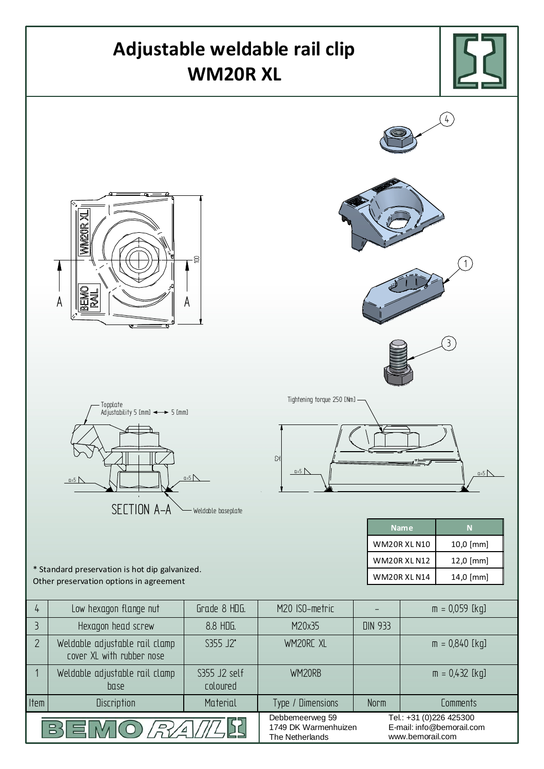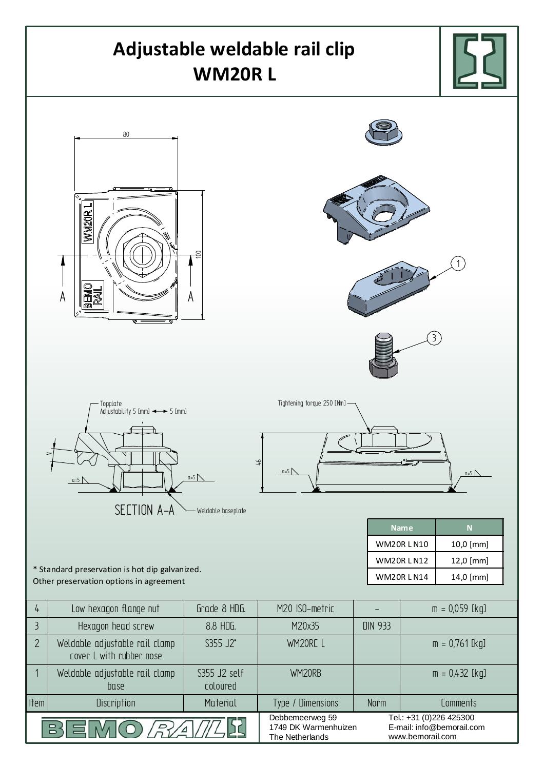